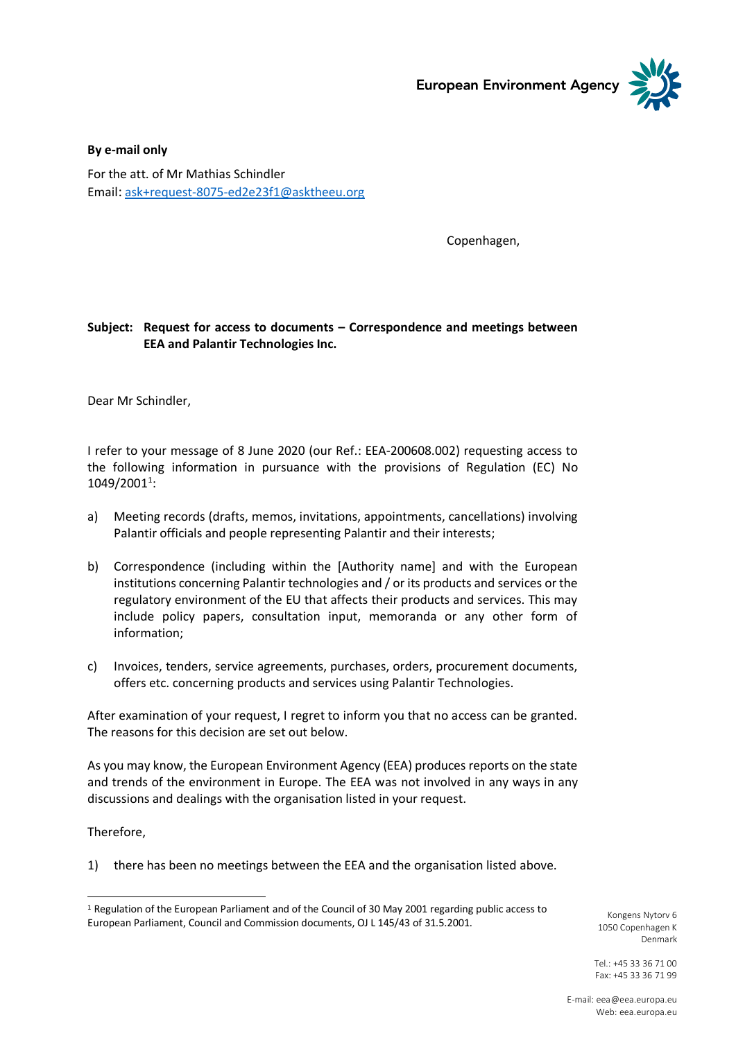

**By e-mail only** For the att. of Mr Mathias Schindler Email: [ask+request-8075-ed2e23f1@asktheeu.org](mailto:xxxxxxxxxxxxxxxxxxxxxxxxx@xxxxxxxx.xxx)

Copenhagen,

## **Subject: Request for access to documents – Correspondence and meetings between EEA and Palantir Technologies Inc.**

Dear Mr Schindler,

I refer to your message of 8 June 2020 (our Ref.: EEA-200608.002) requesting access to the following information in pursuance with the provisions of Regulation (EC) No 1049/2001<sup>1</sup>:

- a) Meeting records (drafts, memos, invitations, appointments, cancellations) involving Palantir officials and people representing Palantir and their interests;
- b) Correspondence (including within the [Authority name] and with the European institutions concerning Palantir technologies and / or its products and services or the regulatory environment of the EU that affects their products and services. This may include policy papers, consultation input, memoranda or any other form of information;
- c) Invoices, tenders, service agreements, purchases, orders, procurement documents, offers etc. concerning products and services using Palantir Technologies.

After examination of your request, I regret to inform you that no access can be granted. The reasons for this decision are set out below.

As you may know, the European Environment Agency (EEA) produces reports on the state and trends of the environment in Europe. The EEA was not involved in any ways in any discussions and dealings with the organisation listed in your request.

Therefore,

-

1) there has been no meetings between the EEA and the organisation listed above.

Kongens Nytorv 6 1050 Copenhagen K Denmark

Tel.: +45 33 36 71 00 Fax: +45 33 36 71 99

<sup>1</sup> Regulation of the European Parliament and of the Council of 30 May 2001 regarding public access to European Parliament, Council and Commission documents, OJ L 145/43 of 31.5.2001.